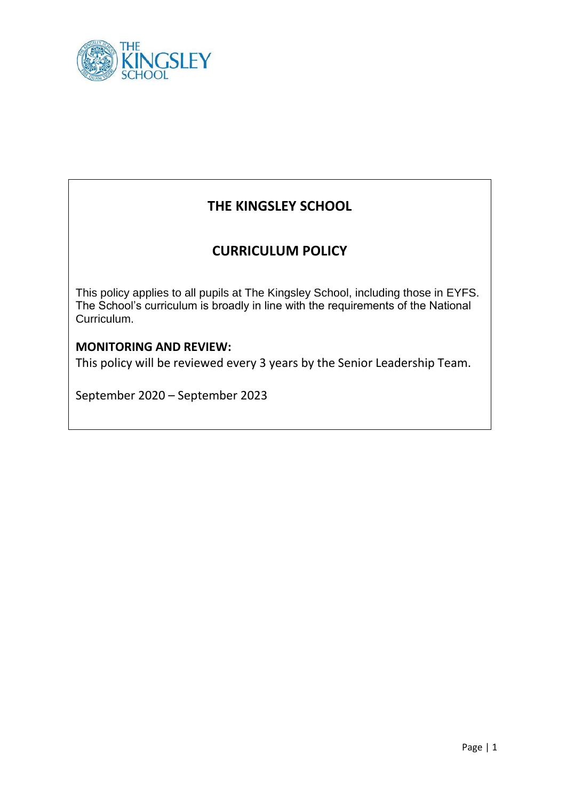

# **THE KINGSLEY SCHOOL**

## **CURRICULUM POLICY**

This policy applies to all pupils at The Kingsley School, including those in EYFS. The School's curriculum is broadly in line with the requirements of the National Curriculum.

## **MONITORING AND REVIEW:**

This policy will be reviewed every 3 years by the Senior Leadership Team.

September 2020 – September 2023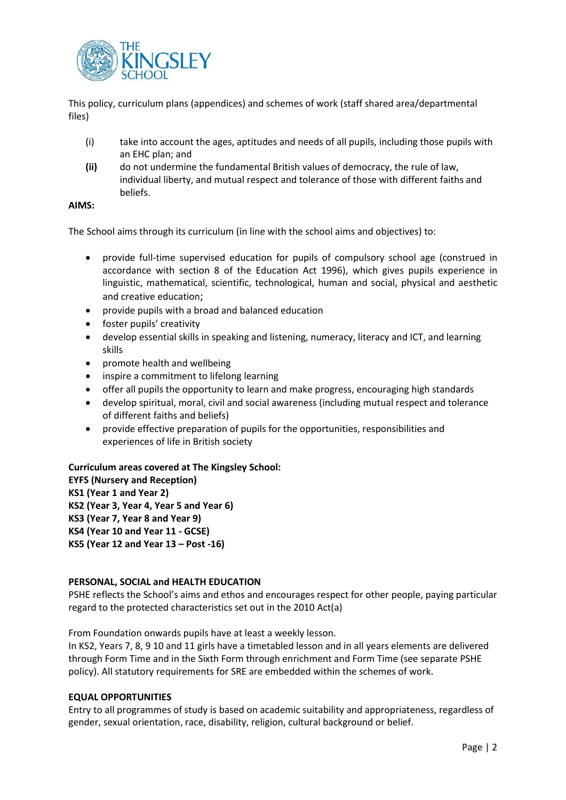

This policy, curriculum plans (appendices) and schemes of work (staff shared area/departmental files)

- (i) take into account the ages, aptitudes and needs of all pupils, including those pupils with an EHC plan; and
- **(ii)** do not undermine the fundamental British values of democracy, the rule of law, individual liberty, and mutual respect and tolerance of those with different faiths and beliefs.

## **AIMS:**

The School aims through its curriculum (in line with the school aims and objectives) to:

- provide full-time supervised education for pupils of compulsory school age (construed in accordance with section 8 of the Education Act 1996), which gives pupils experience in linguistic, mathematical, scientific, technological, human and social, physical and aesthetic and creative education;
- provide pupils with a broad and balanced education
- foster pupils' creativity
- develop essential skills in speaking and listening, numeracy, literacy and ICT, and learning skills
- promote health and wellbeing
- inspire a commitment to lifelong learning
- offer all pupils the opportunity to learn and make progress, encouraging high standards
- develop spiritual, moral, civil and social awareness (including mutual respect and tolerance of different faiths and beliefs)
- provide effective preparation of pupils for the opportunities, responsibilities and experiences of life in British society

## **Curriculum areas covered at The Kingsley School:**

**EYFS (Nursery and Reception) KS1 (Year 1 and Year 2) KS2 (Year 3, Year 4, Year 5 and Year 6) KS3 (Year 7, Year 8 and Year 9) KS4 (Year 10 and Year 11 - GCSE) KS5 (Year 12 and Year 13 – Post -16)**

## **PERSONAL, SOCIAL and HEALTH EDUCATION**

PSHE reflects the School's aims and ethos and encourages respect for other people, paying particular regard to the protected characteristics set out in the 2010 Act(a)

From Foundation onwards pupils have at least a weekly lesson.

In KS2, Years 7, 8, 9 10 and 11 girls have a timetabled lesson and in all years elements are delivered through Form Time and in the Sixth Form through enrichment and Form Time (see separate PSHE policy). All statutory requirements for SRE are embedded within the schemes of work.

## **EQUAL OPPORTUNITIES**

Entry to all programmes of study is based on academic suitability and appropriateness, regardless of gender, sexual orientation, race, disability, religion, cultural background or belief.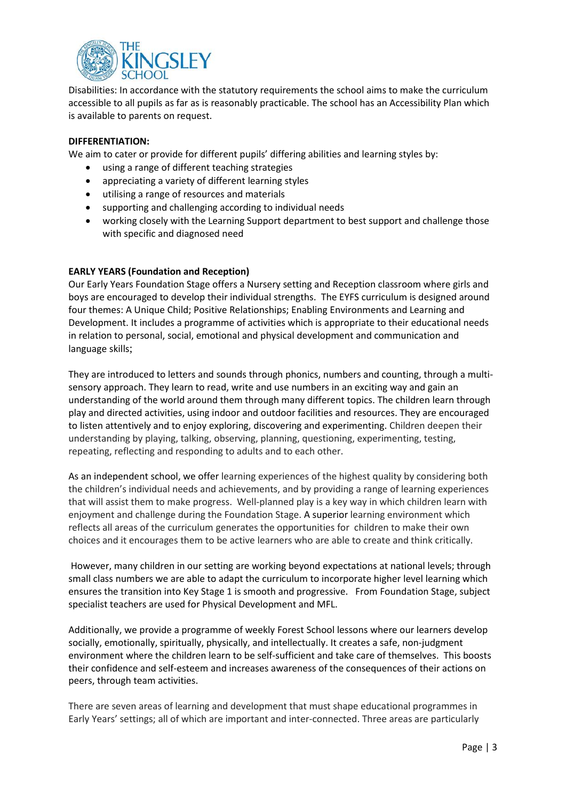

Disabilities: In accordance with the statutory requirements the school aims to make the curriculum accessible to all pupils as far as is reasonably practicable. The school has an Accessibility Plan which is available to parents on request.

## **DIFFERENTIATION:**

We aim to cater or provide for different pupils' differing abilities and learning styles by:

- using a range of different teaching strategies
- appreciating a variety of different learning styles
- utilising a range of resources and materials
- supporting and challenging according to individual needs
- working closely with the Learning Support department to best support and challenge those with specific and diagnosed need

## **EARLY YEARS (Foundation and Reception)**

Our Early Years Foundation Stage offers a Nursery setting and Reception classroom where girls and boys are encouraged to develop their individual strengths. The EYFS curriculum is designed around four themes: A Unique Child; Positive Relationships; Enabling Environments and Learning and Development. It includes a programme of activities which is appropriate to their educational needs in relation to personal, social, emotional and physical development and communication and language skills;

They are introduced to letters and sounds through phonics, numbers and counting, through a multisensory approach. They learn to read, write and use numbers in an exciting way and gain an understanding of the world around them through many different topics. The children learn through play and directed activities, using indoor and outdoor facilities and resources. They are encouraged to listen attentively and to enjoy exploring, discovering and experimenting. Children deepen their understanding by playing, talking, observing, planning, questioning, experimenting, testing, repeating, reflecting and responding to adults and to each other.

As an independent school, we offer learning experiences of the highest quality by considering both the children's individual needs and achievements, and by providing a range of learning experiences that will assist them to make progress. Well-planned play is a key way in which children learn with enjoyment and challenge during the Foundation Stage. A superior learning environment which reflects all areas of the curriculum generates the opportunities for children to make their own choices and it encourages them to be active learners who are able to create and think critically.

However, many children in our setting are working beyond expectations at national levels; through small class numbers we are able to adapt the curriculum to incorporate higher level learning which ensures the transition into Key Stage 1 is smooth and progressive. From Foundation Stage, subject specialist teachers are used for Physical Development and MFL.

Additionally, we provide a programme of weekly Forest School lessons where our learners develop socially, emotionally, spiritually, physically, and intellectually. It creates a safe, non-judgment environment where the children learn to be self-sufficient and take care of themselves. This boosts their confidence and self-esteem and increases awareness of the consequences of their actions on peers, through team activities.

There are seven areas of learning and development that must shape educational programmes in Early Years' settings; all of which are important and inter-connected. Three areas are particularly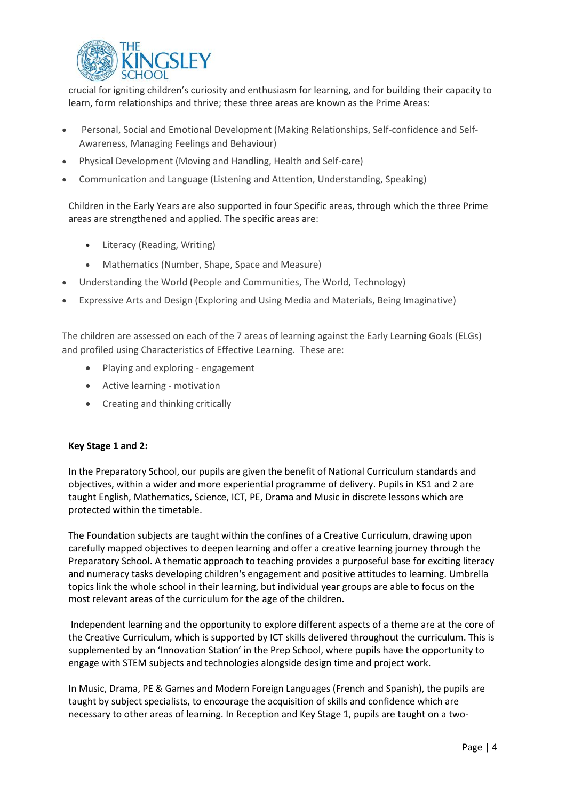

crucial for igniting children's curiosity and enthusiasm for learning, and for building their capacity to learn, form relationships and thrive; these three areas are known as the Prime Areas:

- Personal, Social and Emotional Development (Making Relationships, Self-confidence and Self-Awareness, Managing Feelings and Behaviour)
- Physical Development (Moving and Handling, Health and Self-care)
- Communication and Language (Listening and Attention, Understanding, Speaking)

Children in the Early Years are also supported in four Specific areas, through which the three Prime areas are strengthened and applied. The specific areas are:

- Literacy (Reading, Writing)
- Mathematics (Number, Shape, Space and Measure)
- Understanding the World (People and Communities, The World, Technology)
- Expressive Arts and Design (Exploring and Using Media and Materials, Being Imaginative)

The children are assessed on each of the 7 areas of learning against the Early Learning Goals (ELGs) and profiled using Characteristics of Effective Learning. These are:

- Playing and exploring engagement
- Active learning motivation
- Creating and thinking critically

## **Key Stage 1 and 2:**

In the Preparatory School, our pupils are given the benefit of National Curriculum standards and objectives, within a wider and more experiential programme of delivery. Pupils in KS1 and 2 are taught English, Mathematics, Science, ICT, PE, Drama and Music in discrete lessons which are protected within the timetable.

The Foundation subjects are taught within the confines of a Creative Curriculum, drawing upon carefully mapped objectives to deepen learning and offer a creative learning journey through the Preparatory School. A thematic approach to teaching provides a purposeful base for exciting literacy and numeracy tasks developing children's engagement and positive attitudes to learning. Umbrella topics link the whole school in their learning, but individual year groups are able to focus on the most relevant areas of the curriculum for the age of the children.

Independent learning and the opportunity to explore different aspects of a theme are at the core of the Creative Curriculum, which is supported by ICT skills delivered throughout the curriculum. This is supplemented by an 'Innovation Station' in the Prep School, where pupils have the opportunity to engage with STEM subjects and technologies alongside design time and project work.

In Music, Drama, PE & Games and Modern Foreign Languages (French and Spanish), the pupils are taught by subject specialists, to encourage the acquisition of skills and confidence which are necessary to other areas of learning. In Reception and Key Stage 1, pupils are taught on a two-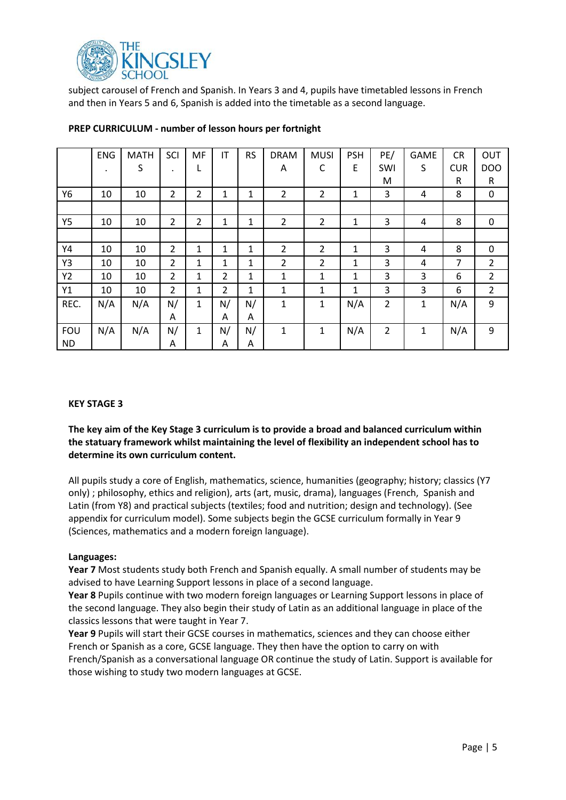

subject carousel of French and Spanish. In Years 3 and 4, pupils have timetabled lessons in French and then in Years 5 and 6, Spanish is added into the timetable as a second language.

|            | <b>ENG</b> | <b>MATH</b> | SCI            | MF             | IT | <b>RS</b> | <b>DRAM</b>    | <b>MUSI</b>    | <b>PSH</b>   | PE/            | GAME         | <b>CR</b>  | OUT             |
|------------|------------|-------------|----------------|----------------|----|-----------|----------------|----------------|--------------|----------------|--------------|------------|-----------------|
|            | $\bullet$  | S           | $\cdot$        | L              |    |           | A              | C              | E            | SWI            | S            | <b>CUR</b> | DO <sub>O</sub> |
|            |            |             |                |                |    |           |                |                |              | M              |              | R          | R               |
| Y6         | 10         | 10          | 2              | 2              | 1  | 1         | $\overline{2}$ | $\overline{2}$ | 1            | 3              | 4            | 8          | 0               |
|            |            |             |                |                |    |           |                |                |              |                |              |            |                 |
| <b>Y5</b>  | 10         | 10          | $\overline{2}$ | $\overline{2}$ | 1  | 1         | $\overline{2}$ | $\overline{2}$ | 1            | 3              | 4            | 8          | 0               |
|            |            |             |                |                |    |           |                |                |              |                |              |            |                 |
| Y4         | 10         | 10          | $\overline{2}$ | 1              | 1  | 1         | 2              | $\overline{2}$ | 1            | 3              | 4            | 8          | 0               |
| Y3         | 10         | 10          | $\overline{2}$ | 1              | 1  | 1         | $\overline{2}$ | $\overline{2}$ | 1            | 3              | 4            | 7          | $\overline{2}$  |
| Y2         | 10         | 10          | 2              | 1              | 2  | 1         | 1              | 1              | 1            | 3              | 3            | 6          | $\overline{2}$  |
| Y1         | 10         | 10          | $\overline{2}$ | 1              | 2  | 1         | 1              | 1              | $\mathbf{1}$ | 3              | 3            | 6          | $\overline{2}$  |
| REC.       | N/A        | N/A         | N/             | 1              | N/ | N/        | $\mathbf{1}$   | $\mathbf{1}$   | N/A          | $\overline{2}$ | $\mathbf{1}$ | N/A        | 9               |
|            |            |             | A              |                | A  | A         |                |                |              |                |              |            |                 |
| <b>FOU</b> | N/A        | N/A         | N/             | 1              | N/ | N/        | 1              | $\mathbf{1}$   | N/A          | $\overline{2}$ | $\mathbf{1}$ | N/A        | 9               |
| <b>ND</b>  |            |             | A              |                | A  | A         |                |                |              |                |              |            |                 |

## **PREP CURRICULUM - number of lesson hours per fortnight**

## **KEY STAGE 3**

**The key aim of the Key Stage 3 curriculum is to provide a broad and balanced curriculum within the statuary framework whilst maintaining the level of flexibility an independent school has to determine its own curriculum content.**

All pupils study a core of English, mathematics, science, humanities (geography; history; classics (Y7 only) ; philosophy, ethics and religion), arts (art, music, drama), languages (French, Spanish and Latin (from Y8) and practical subjects (textiles; food and nutrition; design and technology). (See appendix for curriculum model). Some subjects begin the GCSE curriculum formally in Year 9 (Sciences, mathematics and a modern foreign language).

#### **Languages:**

**Year 7** Most students study both French and Spanish equally. A small number of students may be advised to have Learning Support lessons in place of a second language.

**Year 8** Pupils continue with two modern foreign languages or Learning Support lessons in place of the second language. They also begin their study of Latin as an additional language in place of the classics lessons that were taught in Year 7.

**Year 9** Pupils will start their GCSE courses in mathematics, sciences and they can choose either French or Spanish as a core, GCSE language. They then have the option to carry on with French/Spanish as a conversational language OR continue the study of Latin. Support is available for those wishing to study two modern languages at GCSE.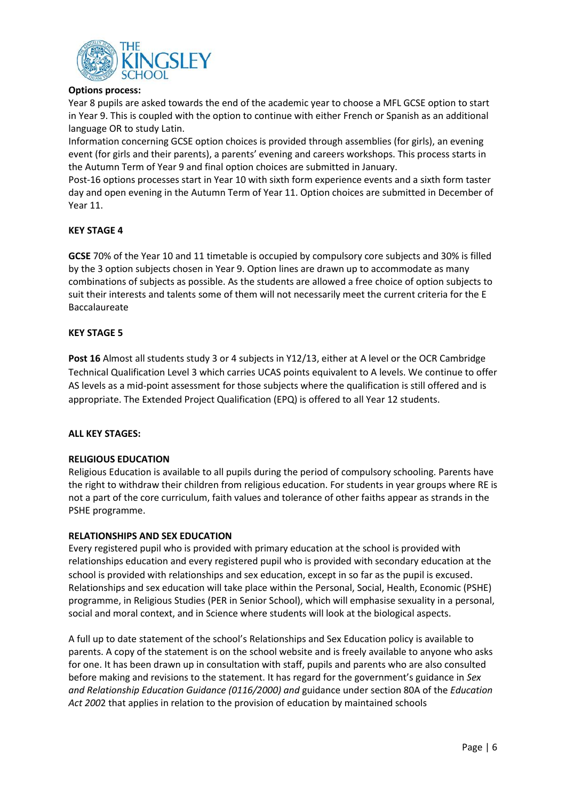

## **Options process:**

Year 8 pupils are asked towards the end of the academic year to choose a MFL GCSE option to start in Year 9. This is coupled with the option to continue with either French or Spanish as an additional language OR to study Latin.

Information concerning GCSE option choices is provided through assemblies (for girls), an evening event (for girls and their parents), a parents' evening and careers workshops. This process starts in the Autumn Term of Year 9 and final option choices are submitted in January.

Post-16 options processes start in Year 10 with sixth form experience events and a sixth form taster day and open evening in the Autumn Term of Year 11. Option choices are submitted in December of Year 11.

## **KEY STAGE 4**

**GCSE** 70% of the Year 10 and 11 timetable is occupied by compulsory core subjects and 30% is filled by the 3 option subjects chosen in Year 9. Option lines are drawn up to accommodate as many combinations of subjects as possible. As the students are allowed a free choice of option subjects to suit their interests and talents some of them will not necessarily meet the current criteria for the E Baccalaureate

## **KEY STAGE 5**

**Post 16** Almost all students study 3 or 4 subjects in Y12/13, either at A level or the OCR Cambridge Technical Qualification Level 3 which carries UCAS points equivalent to A levels. We continue to offer AS levels as a mid-point assessment for those subjects where the qualification is still offered and is appropriate. The Extended Project Qualification (EPQ) is offered to all Year 12 students.

## **ALL KEY STAGES:**

## **RELIGIOUS EDUCATION**

Religious Education is available to all pupils during the period of compulsory schooling. Parents have the right to withdraw their children from religious education. For students in year groups where RE is not a part of the core curriculum, faith values and tolerance of other faiths appear as strands in the PSHE programme.

## **RELATIONSHIPS AND SEX EDUCATION**

Every registered pupil who is provided with primary education at the school is provided with relationships education and every registered pupil who is provided with secondary education at the school is provided with relationships and sex education, except in so far as the pupil is excused. Relationships and sex education will take place within the Personal, Social, Health, Economic (PSHE) programme, in Religious Studies (PER in Senior School), which will emphasise sexuality in a personal, social and moral context, and in Science where students will look at the biological aspects.

A full up to date statement of the school's Relationships and Sex Education policy is available to parents. A copy of the statement is on the school website and is freely available to anyone who asks for one. It has been drawn up in consultation with staff, pupils and parents who are also consulted before making and revisions to the statement. It has regard for the government's guidance in *Sex and Relationship Education Guidance (0116/2000) and* guidance under section 80A of the *Education Act 200*2 that applies in relation to the provision of education by maintained schools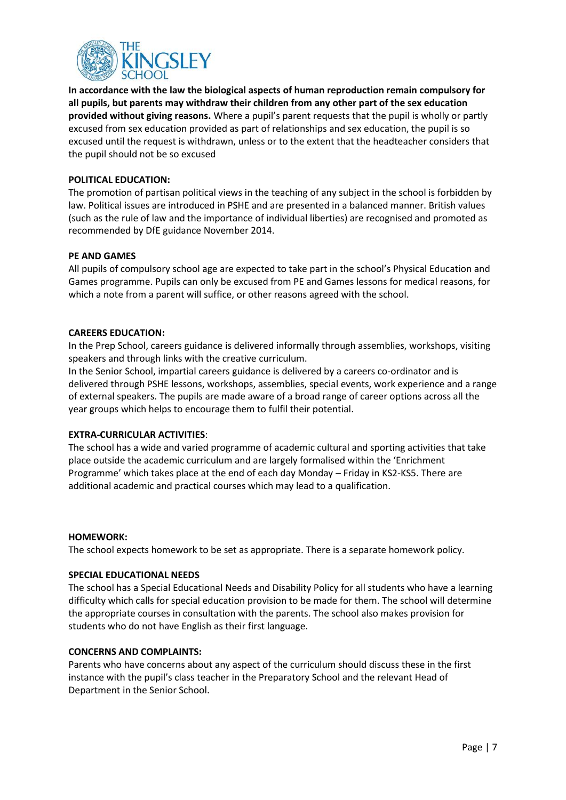

**In accordance with the law the biological aspects of human reproduction remain compulsory for all pupils, but parents may withdraw their children from any other part of the sex education provided without giving reasons.** Where a pupil's parent requests that the pupil is wholly or partly excused from sex education provided as part of relationships and sex education, the pupil is so excused until the request is withdrawn, unless or to the extent that the headteacher considers that the pupil should not be so excused

## **POLITICAL EDUCATION:**

The promotion of partisan political views in the teaching of any subject in the school is forbidden by law. Political issues are introduced in PSHE and are presented in a balanced manner. British values (such as the rule of law and the importance of individual liberties) are recognised and promoted as recommended by DfE guidance November 2014.

### **PE AND GAMES**

All pupils of compulsory school age are expected to take part in the school's Physical Education and Games programme. Pupils can only be excused from PE and Games lessons for medical reasons, for which a note from a parent will suffice, or other reasons agreed with the school.

### **CAREERS EDUCATION:**

In the Prep School, careers guidance is delivered informally through assemblies, workshops, visiting speakers and through links with the creative curriculum.

In the Senior School, impartial careers guidance is delivered by a careers co-ordinator and is delivered through PSHE lessons, workshops, assemblies, special events, work experience and a range of external speakers. The pupils are made aware of a broad range of career options across all the year groups which helps to encourage them to fulfil their potential.

## **EXTRA-CURRICULAR ACTIVITIES**:

The school has a wide and varied programme of academic cultural and sporting activities that take place outside the academic curriculum and are largely formalised within the 'Enrichment Programme' which takes place at the end of each day Monday – Friday in KS2-KS5. There are additional academic and practical courses which may lead to a qualification.

## **HOMEWORK:**

The school expects homework to be set as appropriate. There is a separate homework policy.

#### **SPECIAL EDUCATIONAL NEEDS**

The school has a Special Educational Needs and Disability Policy for all students who have a learning difficulty which calls for special education provision to be made for them. The school will determine the appropriate courses in consultation with the parents. The school also makes provision for students who do not have English as their first language.

## **CONCERNS AND COMPLAINTS:**

Parents who have concerns about any aspect of the curriculum should discuss these in the first instance with the pupil's class teacher in the Preparatory School and the relevant Head of Department in the Senior School.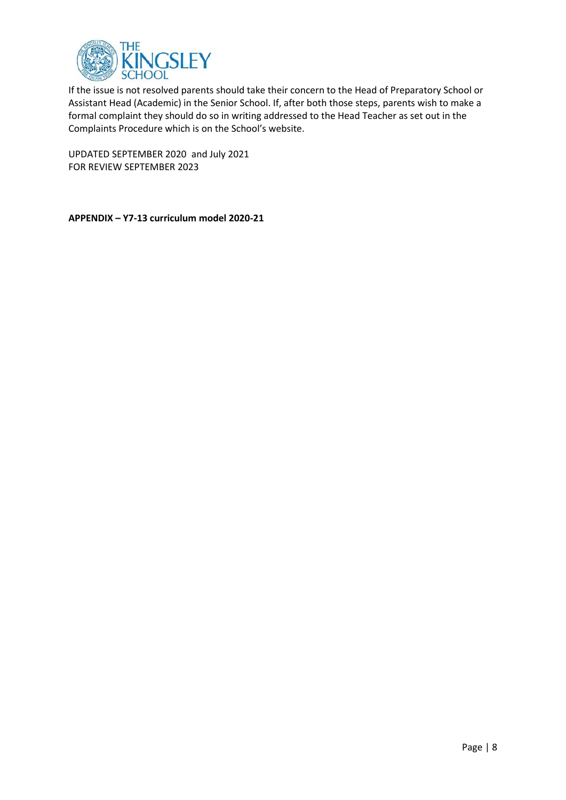

If the issue is not resolved parents should take their concern to the Head of Preparatory School or Assistant Head (Academic) in the Senior School. If, after both those steps, parents wish to make a formal complaint they should do so in writing addressed to the Head Teacher as set out in the Complaints Procedure which is on the School's website.

UPDATED SEPTEMBER 2020 and July 2021 FOR REVIEW SEPTEMBER 2023

**APPENDIX – Y7-13 curriculum model 2020-21**